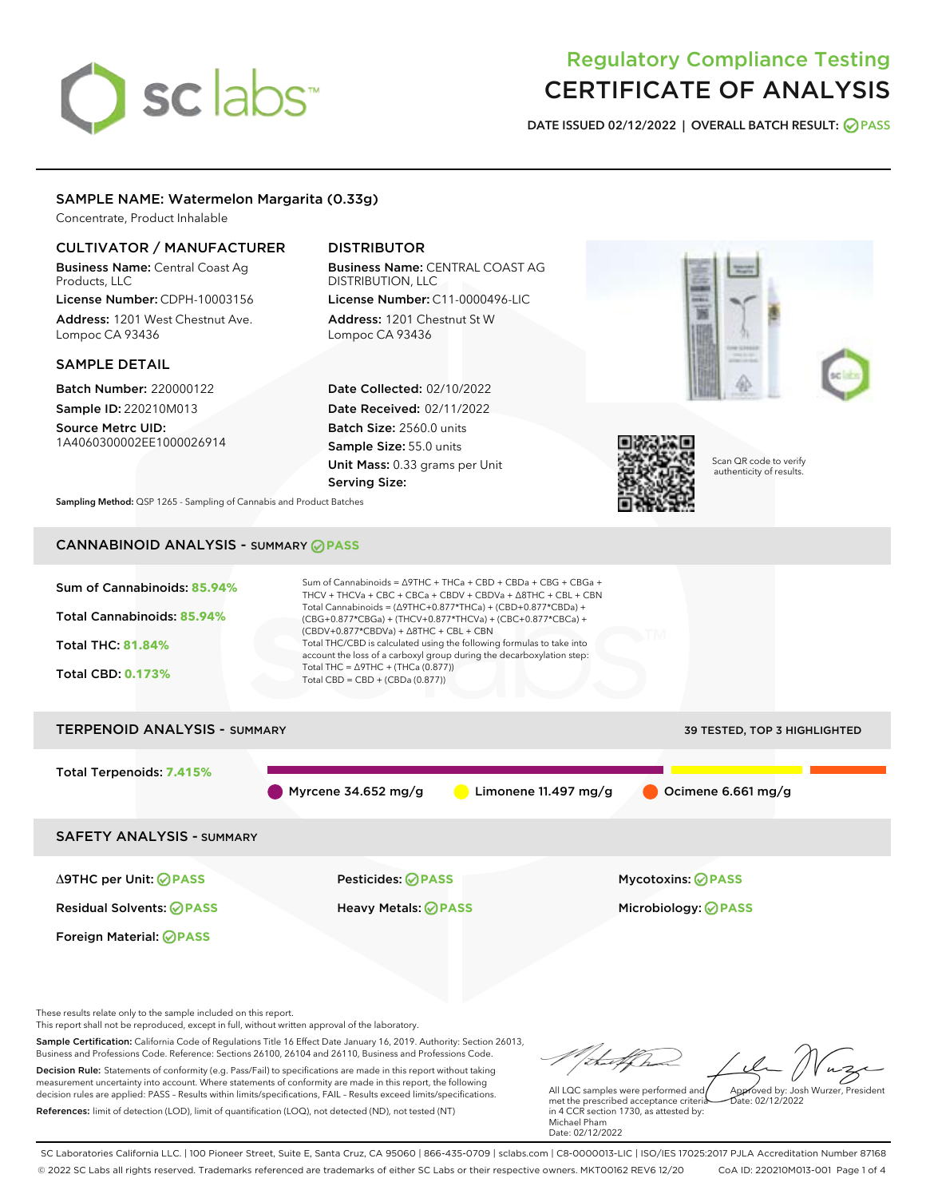# sclabs<sup>\*</sup>

# Regulatory Compliance Testing CERTIFICATE OF ANALYSIS

DATE ISSUED 02/12/2022 | OVERALL BATCH RESULT: @ PASS

# SAMPLE NAME: Watermelon Margarita (0.33g)

Concentrate, Product Inhalable

# CULTIVATOR / MANUFACTURER

Business Name: Central Coast Ag Products, LLC License Number: CDPH-10003156

Address: 1201 West Chestnut Ave. Lompoc CA 93436

#### SAMPLE DETAIL

Batch Number: 220000122 Sample ID: 220210M013

Source Metrc UID: 1A4060300002EE1000026914

# DISTRIBUTOR

Business Name: CENTRAL COAST AG DISTRIBUTION, LLC License Number: C11-0000496-LIC

Address: 1201 Chestnut St W Lompoc CA 93436

Date Collected: 02/10/2022 Date Received: 02/11/2022 Batch Size: 2560.0 units Sample Size: 55.0 units Unit Mass: 0.33 grams per Unit Serving Size:





Scan QR code to verify authenticity of results.

Sampling Method: QSP 1265 - Sampling of Cannabis and Product Batches

# CANNABINOID ANALYSIS - SUMMARY **PASS**



Δ9THC per Unit: **PASS** Pesticides: **PASS** Mycotoxins: **PASS**

Foreign Material: **PASS**

Residual Solvents: **PASS** Heavy Metals: **PASS** Microbiology: **PASS**

These results relate only to the sample included on this report.

This report shall not be reproduced, except in full, without written approval of the laboratory.

Sample Certification: California Code of Regulations Title 16 Effect Date January 16, 2019. Authority: Section 26013, Business and Professions Code. Reference: Sections 26100, 26104 and 26110, Business and Professions Code. Decision Rule: Statements of conformity (e.g. Pass/Fail) to specifications are made in this report without taking

measurement uncertainty into account. Where statements of conformity are made in this report, the following decision rules are applied: PASS – Results within limits/specifications, FAIL – Results exceed limits/specifications. References: limit of detection (LOD), limit of quantification (LOQ), not detected (ND), not tested (NT)

Approved by: Josh Wurzer, President

 $\frac{1}{2}$ ate: 02/12/2022

All LQC samples were performed and met the prescribed acceptance criteria in 4 CCR section 1730, as attested by: Michael Pham Date: 02/12/2022

SC Laboratories California LLC. | 100 Pioneer Street, Suite E, Santa Cruz, CA 95060 | 866-435-0709 | sclabs.com | C8-0000013-LIC | ISO/IES 17025:2017 PJLA Accreditation Number 87168 © 2022 SC Labs all rights reserved. Trademarks referenced are trademarks of either SC Labs or their respective owners. MKT00162 REV6 12/20 CoA ID: 220210M013-001 Page 1 of 4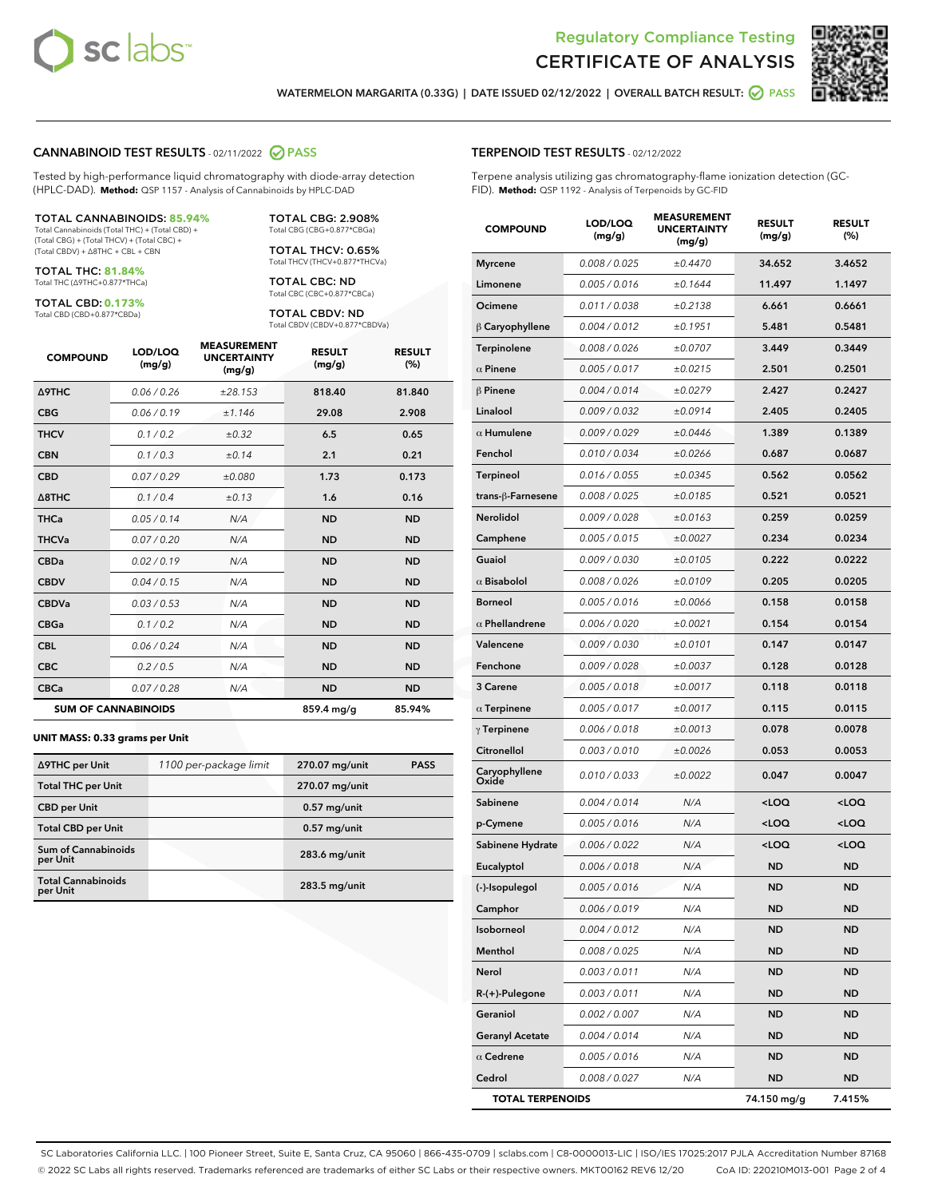



WATERMELON MARGARITA (0.33G) | DATE ISSUED 02/12/2022 | OVERALL BATCH RESULT: @ PASS

#### CANNABINOID TEST RESULTS - 02/11/2022 2 PASS

Tested by high-performance liquid chromatography with diode-array detection (HPLC-DAD). **Method:** QSP 1157 - Analysis of Cannabinoids by HPLC-DAD

#### TOTAL CANNABINOIDS: **85.94%**

Total Cannabinoids (Total THC) + (Total CBD) + (Total CBG) + (Total THCV) + (Total CBC) + (Total CBDV) + ∆8THC + CBL + CBN

TOTAL THC: **81.84%** Total THC (∆9THC+0.877\*THCa)

TOTAL CBD: **0.173%**

Total CBD (CBD+0.877\*CBDa)

TOTAL CBG: 2.908% Total CBG (CBG+0.877\*CBGa)

TOTAL THCV: 0.65% Total THCV (THCV+0.877\*THCVa)

TOTAL CBC: ND Total CBC (CBC+0.877\*CBCa)

TOTAL CBDV: ND Total CBDV (CBDV+0.877\*CBDVa)

| <b>COMPOUND</b>  | LOD/LOQ<br>(mg/g)          | <b>MEASUREMENT</b><br><b>UNCERTAINTY</b><br>(mg/g) | <b>RESULT</b><br>(mg/g) | <b>RESULT</b><br>(%) |
|------------------|----------------------------|----------------------------------------------------|-------------------------|----------------------|
| Δ9THC            | 0.06 / 0.26                | ±28.153                                            | 818.40                  | 81.840               |
| <b>CBG</b>       | 0.06/0.19                  | ±1.146                                             | 29.08                   | 2.908                |
| <b>THCV</b>      | 0.1 / 0.2                  | $\pm 0.32$                                         | 6.5                     | 0.65                 |
| <b>CBN</b>       | 0.1/0.3                    | ±0.14                                              | 2.1                     | 0.21                 |
| <b>CBD</b>       | 0.07/0.29                  | ±0.080                                             | 1.73                    | 0.173                |
| $\triangle$ 8THC | 0.1 / 0.4                  | ±0.13                                              | 1.6                     | 0.16                 |
| <b>THCa</b>      | 0.05/0.14                  | N/A                                                | <b>ND</b>               | <b>ND</b>            |
| <b>THCVa</b>     | 0.07/0.20                  | N/A                                                | <b>ND</b>               | <b>ND</b>            |
| <b>CBDa</b>      | 0.02/0.19                  | N/A                                                | <b>ND</b>               | <b>ND</b>            |
| <b>CBDV</b>      | 0.04 / 0.15                | N/A                                                | <b>ND</b>               | <b>ND</b>            |
| <b>CBDVa</b>     | 0.03/0.53                  | N/A                                                | <b>ND</b>               | <b>ND</b>            |
| <b>CBGa</b>      | 0.1/0.2                    | N/A                                                | <b>ND</b>               | <b>ND</b>            |
| <b>CBL</b>       | 0.06 / 0.24                | N/A                                                | <b>ND</b>               | <b>ND</b>            |
| <b>CBC</b>       | 0.2 / 0.5                  | N/A                                                | <b>ND</b>               | <b>ND</b>            |
| <b>CBCa</b>      | 0.07/0.28                  | N/A                                                | <b>ND</b>               | <b>ND</b>            |
|                  | <b>SUM OF CANNABINOIDS</b> |                                                    | 859.4 mg/g              | 85.94%               |

#### **UNIT MASS: 0.33 grams per Unit**

| ∆9THC per Unit                         | 1100 per-package limit | 270.07 mg/unit  | <b>PASS</b> |
|----------------------------------------|------------------------|-----------------|-------------|
| <b>Total THC per Unit</b>              |                        | 270.07 mg/unit  |             |
| <b>CBD per Unit</b>                    |                        | $0.57$ mg/unit  |             |
| <b>Total CBD per Unit</b>              |                        | $0.57$ mg/unit  |             |
| <b>Sum of Cannabinoids</b><br>per Unit |                        | 283.6 mg/unit   |             |
| <b>Total Cannabinoids</b><br>per Unit  |                        | $283.5$ mg/unit |             |

#### TERPENOID TEST RESULTS - 02/12/2022

Terpene analysis utilizing gas chromatography-flame ionization detection (GC-FID). **Method:** QSP 1192 - Analysis of Terpenoids by GC-FID

| <b>COMPOUND</b>         | LOD/LOQ<br>(mg/g) | <b>MEASUREMENT</b><br><b>UNCERTAINTY</b><br>(mg/g) | <b>RESULT</b><br>(mg/g)                         | <b>RESULT</b><br>(%) |
|-------------------------|-------------------|----------------------------------------------------|-------------------------------------------------|----------------------|
| <b>Myrcene</b>          | 0.008 / 0.025     | ±0.4470                                            | 34.652                                          | 3.4652               |
| Limonene                | 0.005 / 0.016     | ±0.1644                                            | 11.497                                          | 1.1497               |
| Ocimene                 | 0.011 / 0.038     | ±0.2138                                            | 6.661                                           | 0.6661               |
| $\beta$ Caryophyllene   | 0.004 / 0.012     | ±0.1951                                            | 5.481                                           | 0.5481               |
| <b>Terpinolene</b>      | 0.008 / 0.026     | ±0.0707                                            | 3.449                                           | 0.3449               |
| $\alpha$ Pinene         | 0.005 / 0.017     | ±0.0215                                            | 2.501                                           | 0.2501               |
| $\beta$ Pinene          | 0.004 / 0.014     | ±0.0279                                            | 2.427                                           | 0.2427               |
| Linalool                | 0.009/0.032       | ±0.0914                                            | 2.405                                           | 0.2405               |
| $\alpha$ Humulene       | 0.009 / 0.029     | ±0.0446                                            | 1.389                                           | 0.1389               |
| Fenchol                 | 0.010 / 0.034     | ±0.0266                                            | 0.687                                           | 0.0687               |
| Terpineol               | 0.016 / 0.055     | ±0.0345                                            | 0.562                                           | 0.0562               |
| trans-β-Farnesene       | 0.008 / 0.025     | ±0.0185                                            | 0.521                                           | 0.0521               |
| <b>Nerolidol</b>        | 0.009 / 0.028     | ±0.0163                                            | 0.259                                           | 0.0259               |
| Camphene                | 0.005 / 0.015     | ±0.0027                                            | 0.234                                           | 0.0234               |
| Guaiol                  | 0.009 / 0.030     | ±0.0105                                            | 0.222                                           | 0.0222               |
| $\alpha$ Bisabolol      | 0.008 / 0.026     | ±0.0109                                            | 0.205                                           | 0.0205               |
| <b>Borneol</b>          | 0.005 / 0.016     | ±0.0066                                            | 0.158                                           | 0.0158               |
| $\alpha$ Phellandrene   | 0.006 / 0.020     | ±0.0021                                            | 0.154                                           | 0.0154               |
| Valencene               | 0.009 / 0.030     | ±0.0101                                            | 0.147                                           | 0.0147               |
| Fenchone                | 0.009/0.028       | ±0.0037                                            | 0.128                                           | 0.0128               |
| 3 Carene                | 0.005 / 0.018     | ±0.0017                                            | 0.118                                           | 0.0118               |
| $\alpha$ Terpinene      | 0.005 / 0.017     | ±0.0017                                            | 0.115                                           | 0.0115               |
| $\gamma$ Terpinene      | 0.006 / 0.018     | ±0.0013                                            | 0.078                                           | 0.0078               |
| Citronellol             | 0.003 / 0.010     | ±0.0026                                            | 0.053                                           | 0.0053               |
| Caryophyllene<br>Oxide  | 0.010 / 0.033     | ±0.0022                                            | 0.047                                           | 0.0047               |
| Sabinene                | 0.004 / 0.014     | N/A                                                | <loq< th=""><th><loq< th=""></loq<></th></loq<> | <loq< th=""></loq<>  |
| p-Cymene                | 0.005 / 0.016     | N/A                                                | <loq< th=""><th><loq< th=""></loq<></th></loq<> | <loq< th=""></loq<>  |
| Sabinene Hydrate        | 0.006 / 0.022     | N/A                                                | <loq< th=""><th><loq< th=""></loq<></th></loq<> | <loq< th=""></loq<>  |
| Eucalyptol              | 0.006 / 0.018     | N/A                                                | <b>ND</b>                                       | ND                   |
| (-)-Isopulegol          | 0.005 / 0.016     | N/A                                                | <b>ND</b>                                       | <b>ND</b>            |
| Camphor                 | 0.006 / 0.019     | N/A                                                | ND                                              | ND                   |
| Isoborneol              | 0.004 / 0.012     | N/A                                                | <b>ND</b>                                       | ND                   |
| Menthol                 | 0.008 / 0.025     | N/A                                                | <b>ND</b>                                       | <b>ND</b>            |
| Nerol                   | 0.003 / 0.011     | N/A                                                | ND                                              | ND                   |
| $R-(+)$ -Pulegone       | 0.003 / 0.011     | N/A                                                | ND                                              | ND                   |
| Geraniol                | 0.002 / 0.007     | N/A                                                | <b>ND</b>                                       | <b>ND</b>            |
| <b>Geranyl Acetate</b>  | 0.004 / 0.014     | N/A                                                | ND                                              | ND                   |
| $\alpha$ Cedrene        | 0.005 / 0.016     | N/A                                                | <b>ND</b>                                       | ND                   |
| Cedrol                  | 0.008 / 0.027     | N/A                                                | <b>ND</b>                                       | ND                   |
| <b>TOTAL TERPENOIDS</b> |                   |                                                    | 74.150 mg/g                                     | 7.415%               |

SC Laboratories California LLC. | 100 Pioneer Street, Suite E, Santa Cruz, CA 95060 | 866-435-0709 | sclabs.com | C8-0000013-LIC | ISO/IES 17025:2017 PJLA Accreditation Number 87168 © 2022 SC Labs all rights reserved. Trademarks referenced are trademarks of either SC Labs or their respective owners. MKT00162 REV6 12/20 CoA ID: 220210M013-001 Page 2 of 4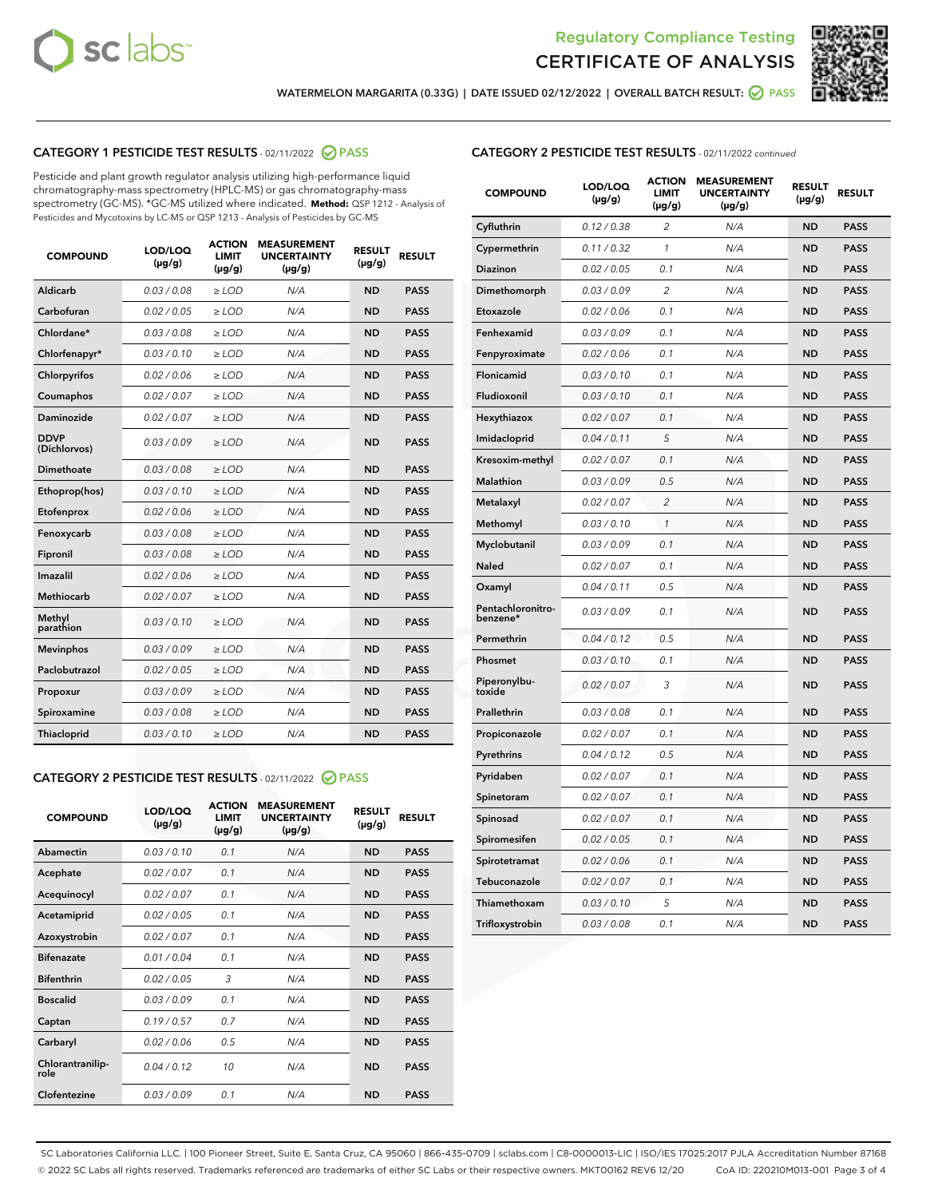



WATERMELON MARGARITA (0.33G) | DATE ISSUED 02/12/2022 | OVERALL BATCH RESULT: @ PASS

# CATEGORY 1 PESTICIDE TEST RESULTS - 02/11/2022 2 PASS

Pesticide and plant growth regulator analysis utilizing high-performance liquid chromatography-mass spectrometry (HPLC-MS) or gas chromatography-mass spectrometry (GC-MS). \*GC-MS utilized where indicated. **Method:** QSP 1212 - Analysis of Pesticides and Mycotoxins by LC-MS or QSP 1213 - Analysis of Pesticides by GC-MS

| <b>COMPOUND</b>             | LOD/LOQ<br>$(\mu g/g)$ | <b>ACTION</b><br><b>LIMIT</b><br>$(\mu g/g)$ | <b>MEASUREMENT</b><br><b>UNCERTAINTY</b><br>$(\mu g/g)$ | <b>RESULT</b><br>$(\mu g/g)$ | <b>RESULT</b> |
|-----------------------------|------------------------|----------------------------------------------|---------------------------------------------------------|------------------------------|---------------|
| Aldicarb                    | 0.03 / 0.08            | $\ge$ LOD                                    | N/A                                                     | <b>ND</b>                    | <b>PASS</b>   |
| Carbofuran                  | 0.02 / 0.05            | $\ge$ LOD                                    | N/A                                                     | <b>ND</b>                    | <b>PASS</b>   |
| Chlordane*                  | 0.03 / 0.08            | $\ge$ LOD                                    | N/A                                                     | <b>ND</b>                    | <b>PASS</b>   |
| Chlorfenapyr*               | 0.03/0.10              | $\ge$ LOD                                    | N/A                                                     | <b>ND</b>                    | <b>PASS</b>   |
| Chlorpyrifos                | 0.02 / 0.06            | $\ge$ LOD                                    | N/A                                                     | <b>ND</b>                    | <b>PASS</b>   |
| Coumaphos                   | 0.02 / 0.07            | $\ge$ LOD                                    | N/A                                                     | <b>ND</b>                    | <b>PASS</b>   |
| Daminozide                  | 0.02 / 0.07            | $\ge$ LOD                                    | N/A                                                     | <b>ND</b>                    | <b>PASS</b>   |
| <b>DDVP</b><br>(Dichlorvos) | 0.03/0.09              | $\ge$ LOD                                    | N/A                                                     | <b>ND</b>                    | <b>PASS</b>   |
| Dimethoate                  | 0.03 / 0.08            | $>$ LOD                                      | N/A                                                     | <b>ND</b>                    | <b>PASS</b>   |
| Ethoprop(hos)               | 0.03/0.10              | $\ge$ LOD                                    | N/A                                                     | <b>ND</b>                    | <b>PASS</b>   |
| Etofenprox                  | 0.02/0.06              | $>$ LOD                                      | N/A                                                     | <b>ND</b>                    | <b>PASS</b>   |
| Fenoxycarb                  | 0.03 / 0.08            | $\geq$ LOD                                   | N/A                                                     | <b>ND</b>                    | <b>PASS</b>   |
| Fipronil                    | 0.03 / 0.08            | $>$ LOD                                      | N/A                                                     | <b>ND</b>                    | <b>PASS</b>   |
| Imazalil                    | 0.02 / 0.06            | $\ge$ LOD                                    | N/A                                                     | <b>ND</b>                    | <b>PASS</b>   |
| <b>Methiocarb</b>           | 0.02 / 0.07            | $\ge$ LOD                                    | N/A                                                     | <b>ND</b>                    | <b>PASS</b>   |
| Methyl<br>parathion         | 0.03/0.10              | $\ge$ LOD                                    | N/A                                                     | <b>ND</b>                    | <b>PASS</b>   |
| <b>Mevinphos</b>            | 0.03/0.09              | $\ge$ LOD                                    | N/A                                                     | <b>ND</b>                    | <b>PASS</b>   |
| Paclobutrazol               | 0.02 / 0.05            | $\ge$ LOD                                    | N/A                                                     | <b>ND</b>                    | <b>PASS</b>   |
| Propoxur                    | 0.03/0.09              | $\ge$ LOD                                    | N/A                                                     | <b>ND</b>                    | <b>PASS</b>   |
| Spiroxamine                 | 0.03 / 0.08            | $\ge$ LOD                                    | N/A                                                     | <b>ND</b>                    | <b>PASS</b>   |
| Thiacloprid                 | 0.03/0.10              | $\ge$ LOD                                    | N/A                                                     | <b>ND</b>                    | <b>PASS</b>   |

#### CATEGORY 2 PESTICIDE TEST RESULTS - 02/11/2022 2 PASS

| <b>COMPOUND</b>          | LOD/LOO<br>$(\mu g/g)$ | <b>ACTION</b><br>LIMIT<br>$(\mu g/g)$ | <b>MEASUREMENT</b><br><b>UNCERTAINTY</b><br>$(\mu g/g)$ | <b>RESULT</b><br>$(\mu g/g)$ | <b>RESULT</b> |
|--------------------------|------------------------|---------------------------------------|---------------------------------------------------------|------------------------------|---------------|
| Abamectin                | 0.03/0.10              | 0.1                                   | N/A                                                     | <b>ND</b>                    | <b>PASS</b>   |
| Acephate                 | 0.02/0.07              | 0.1                                   | N/A                                                     | <b>ND</b>                    | <b>PASS</b>   |
| Acequinocyl              | 0.02/0.07              | 0.1                                   | N/A                                                     | <b>ND</b>                    | <b>PASS</b>   |
| Acetamiprid              | 0.02 / 0.05            | 0.1                                   | N/A                                                     | <b>ND</b>                    | <b>PASS</b>   |
| Azoxystrobin             | 0.02/0.07              | 0.1                                   | N/A                                                     | <b>ND</b>                    | <b>PASS</b>   |
| <b>Bifenazate</b>        | 0.01 / 0.04            | 0.1                                   | N/A                                                     | <b>ND</b>                    | <b>PASS</b>   |
| <b>Bifenthrin</b>        | 0.02 / 0.05            | 3                                     | N/A                                                     | <b>ND</b>                    | <b>PASS</b>   |
| <b>Boscalid</b>          | 0.03/0.09              | 0.1                                   | N/A                                                     | <b>ND</b>                    | <b>PASS</b>   |
| Captan                   | 0.19/0.57              | 0.7                                   | N/A                                                     | <b>ND</b>                    | <b>PASS</b>   |
| Carbaryl                 | 0.02/0.06              | 0.5                                   | N/A                                                     | <b>ND</b>                    | <b>PASS</b>   |
| Chlorantranilip-<br>role | 0.04/0.12              | 10                                    | N/A                                                     | <b>ND</b>                    | <b>PASS</b>   |
| Clofentezine             | 0.03/0.09              | 0.1                                   | N/A                                                     | <b>ND</b>                    | <b>PASS</b>   |

# CATEGORY 2 PESTICIDE TEST RESULTS - 02/11/2022 continued

| <b>COMPOUND</b>               | LOD/LOQ<br>(µg/g) | <b>ACTION</b><br>LIMIT<br>$(\mu g/g)$ | <b>MEASUREMENT</b><br><b>UNCERTAINTY</b><br>$(\mu g/g)$ | <b>RESULT</b><br>(µg/g) | <b>RESULT</b> |
|-------------------------------|-------------------|---------------------------------------|---------------------------------------------------------|-------------------------|---------------|
| Cyfluthrin                    | 0.12 / 0.38       | 2                                     | N/A                                                     | <b>ND</b>               | <b>PASS</b>   |
| Cypermethrin                  | 0.11 / 0.32       | 1                                     | N/A                                                     | <b>ND</b>               | <b>PASS</b>   |
| Diazinon                      | 0.02 / 0.05       | 0.1                                   | N/A                                                     | ND                      | <b>PASS</b>   |
| Dimethomorph                  | 0.03 / 0.09       | 2                                     | N/A                                                     | ND                      | <b>PASS</b>   |
| Etoxazole                     | 0.02 / 0.06       | 0.1                                   | N/A                                                     | ND                      | <b>PASS</b>   |
| Fenhexamid                    | 0.03 / 0.09       | 0.1                                   | N/A                                                     | ND                      | <b>PASS</b>   |
| Fenpyroximate                 | 0.02 / 0.06       | 0.1                                   | N/A                                                     | <b>ND</b>               | <b>PASS</b>   |
| Flonicamid                    | 0.03 / 0.10       | 0.1                                   | N/A                                                     | <b>ND</b>               | <b>PASS</b>   |
| Fludioxonil                   | 0.03 / 0.10       | 0.1                                   | N/A                                                     | <b>ND</b>               | <b>PASS</b>   |
| Hexythiazox                   | 0.02 / 0.07       | 0.1                                   | N/A                                                     | <b>ND</b>               | <b>PASS</b>   |
| Imidacloprid                  | 0.04 / 0.11       | 5                                     | N/A                                                     | <b>ND</b>               | <b>PASS</b>   |
| Kresoxim-methyl               | 0.02 / 0.07       | 0.1                                   | N/A                                                     | <b>ND</b>               | <b>PASS</b>   |
| <b>Malathion</b>              | 0.03 / 0.09       | 0.5                                   | N/A                                                     | <b>ND</b>               | <b>PASS</b>   |
| Metalaxyl                     | 0.02 / 0.07       | $\overline{c}$                        | N/A                                                     | <b>ND</b>               | <b>PASS</b>   |
| Methomyl                      | 0.03 / 0.10       | $\mathcal{I}$                         | N/A                                                     | <b>ND</b>               | <b>PASS</b>   |
| Myclobutanil                  | 0.03/0.09         | 0.1                                   | N/A                                                     | <b>ND</b>               | <b>PASS</b>   |
| <b>Naled</b>                  | 0.02 / 0.07       | 0.1                                   | N/A                                                     | <b>ND</b>               | <b>PASS</b>   |
| Oxamyl                        | 0.04 / 0.11       | 0.5                                   | N/A                                                     | ND                      | <b>PASS</b>   |
| Pentachloronitro-<br>benzene* | 0.03/0.09         | 0.1                                   | N/A                                                     | ND                      | <b>PASS</b>   |
| Permethrin                    | 0.04 / 0.12       | 0.5                                   | N/A                                                     | ND                      | <b>PASS</b>   |
| Phosmet                       | 0.03 / 0.10       | 0.1                                   | N/A                                                     | <b>ND</b>               | <b>PASS</b>   |
| Piperonylbu-<br>toxide        | 0.02 / 0.07       | 3                                     | N/A                                                     | <b>ND</b>               | <b>PASS</b>   |
| Prallethrin                   | 0.03 / 0.08       | 0.1                                   | N/A                                                     | <b>ND</b>               | <b>PASS</b>   |
| Propiconazole                 | 0.02 / 0.07       | 0.1                                   | N/A                                                     | <b>ND</b>               | <b>PASS</b>   |
| Pyrethrins                    | 0.04 / 0.12       | 0.5                                   | N/A                                                     | <b>ND</b>               | <b>PASS</b>   |
| Pyridaben                     | 0.02 / 0.07       | 0.1                                   | N/A                                                     | ND                      | <b>PASS</b>   |
| Spinetoram                    | 0.02 / 0.07       | 0.1                                   | N/A                                                     | ND                      | <b>PASS</b>   |
| Spinosad                      | 0.02 / 0.07       | 0.1                                   | N/A                                                     | ND                      | <b>PASS</b>   |
| Spiromesifen                  | 0.02 / 0.05       | 0.1                                   | N/A                                                     | ND                      | <b>PASS</b>   |
| Spirotetramat                 | 0.02 / 0.06       | 0.1                                   | N/A                                                     | ND                      | <b>PASS</b>   |
| Tebuconazole                  | 0.02 / 0.07       | 0.1                                   | N/A                                                     | <b>ND</b>               | <b>PASS</b>   |
| Thiamethoxam                  | 0.03 / 0.10       | 5                                     | N/A                                                     | ND                      | <b>PASS</b>   |
| Trifloxystrobin               | 0.03 / 0.08       | 0.1                                   | N/A                                                     | <b>ND</b>               | <b>PASS</b>   |

SC Laboratories California LLC. | 100 Pioneer Street, Suite E, Santa Cruz, CA 95060 | 866-435-0709 | sclabs.com | C8-0000013-LIC | ISO/IES 17025:2017 PJLA Accreditation Number 87168 © 2022 SC Labs all rights reserved. Trademarks referenced are trademarks of either SC Labs or their respective owners. MKT00162 REV6 12/20 CoA ID: 220210M013-001 Page 3 of 4